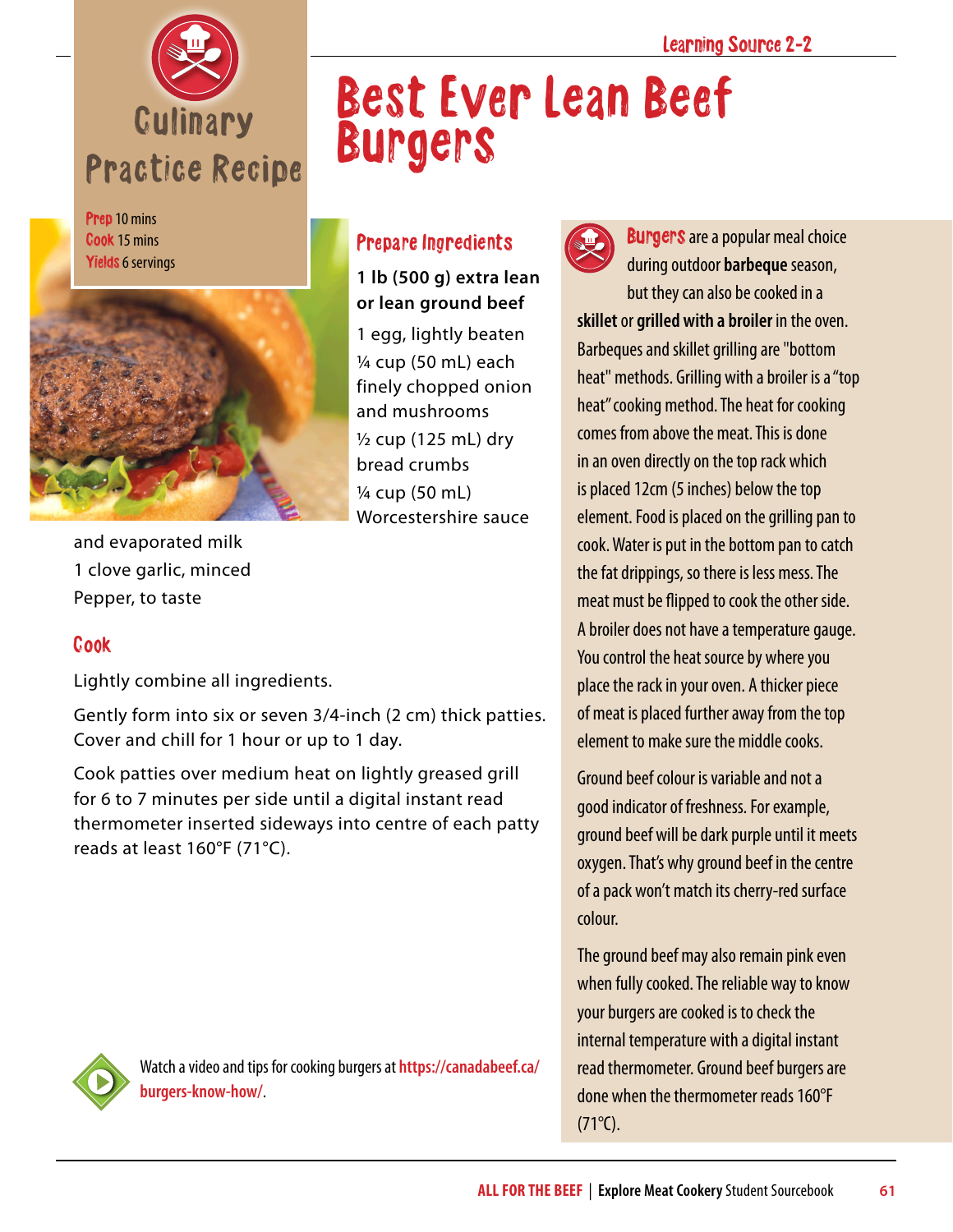

Prep 10 mins Cook 15 mins Yields 6 servings



Prepare Ingredients

Burgers

**1 lb (500 g) extra lean or lean ground beef** 1 egg, lightly beaten ¼ cup (50 mL) each finely chopped onion and mushrooms  $\frac{1}{2}$  cup (125 mL) drv bread crumbs ¼ cup (50 mL) Worcestershire sauce

and evaporated milk 1 clove garlic, minced Pepper, to taste

## Cook

Lightly combine all ingredients.

Gently form into six or seven 3/4-inch (2 cm) thick patties. Cover and chill for 1 hour or up to 1 day.

Cook patties over medium heat on lightly greased grill for 6 to 7 minutes per side until a digital instant read thermometer inserted sideways into centre of each patty reads at least 160°F (71°C).



Best Ever Lean Beef

**Burgers** are a popular meal choice during outdoor **barbeque** season, but they can also be cooked in a **skillet** or **grilled with a broiler** in the oven. Barbeques and skillet grilling are "bottom heat" methods. Grilling with a broiler is a "top heat" cooking method. The heat for cooking comes from above the meat. This is done in an oven directly on the top rack which is placed 12cm (5 inches) below the top element. Food is placed on the grilling pan to cook. Water is put in the bottom pan to catch the fat drippings, so there is less mess. The meat must be flipped to cook the other side. A broiler does not have a temperature gauge. You control the heat source by where you place the rack in your oven. A thicker piece of meat is placed further away from the top element to make sure the middle cooks.

Ground beef colour is variable and not a good indicator of freshness. For example, ground beef will be dark purple until it meets oxygen. That's why ground beef in the centre of a pack won't match its cherry-red surface colour.

The ground beef may also remain pink even when fully cooked. The reliable way to know your burgers are cooked is to check the internal temperature with a digital instant read thermometer. Ground beef burgers are done when the thermometer reads 160°F  $(71^{\circ}C)$ .



Watch a video and tips for cooking burgers at **[https://canadabeef.ca/](https://canadabeef.ca/burgers-know-how/) [burgers-know-how/](https://canadabeef.ca/burgers-know-how/)**.